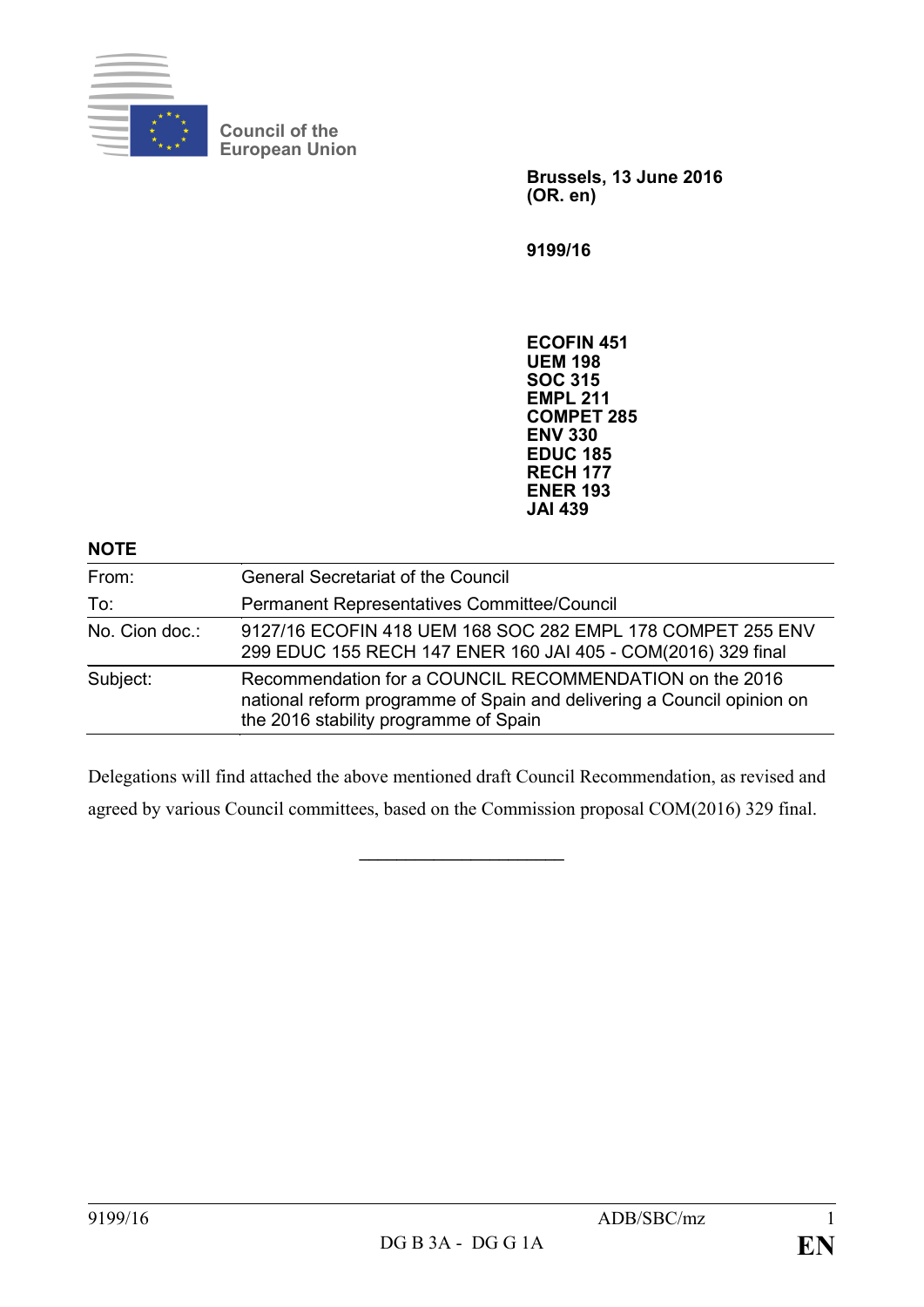

**Council of the European Union**

> **Brussels, 13 June 2016 (OR. en)**

**9199/16**

**ECOFIN 451 UEM 198 SOC 315 EMPL 211 COMPET 285 ENV 330 EDUC 185 RECH 177 ENER 193 JAI 439**

### **NOTE**

| From:          | <b>General Secretariat of the Council</b>                                                                                                                                  |
|----------------|----------------------------------------------------------------------------------------------------------------------------------------------------------------------------|
| To:            | Permanent Representatives Committee/Council                                                                                                                                |
| No. Cion doc.: | 9127/16 ECOFIN 418 UEM 168 SOC 282 EMPL 178 COMPET 255 ENV<br>299 EDUC 155 RECH 147 ENER 160 JAI 405 - COM(2016) 329 final                                                 |
| Subject:       | Recommendation for a COUNCIL RECOMMENDATION on the 2016<br>national reform programme of Spain and delivering a Council opinion on<br>the 2016 stability programme of Spain |

Delegations will find attached the above mentioned draft Council Recommendation, as revised and agreed by various Council committees, based on the Commission proposal COM(2016) 329 final.

**\_\_\_\_\_\_\_\_\_\_\_\_\_\_\_\_\_\_\_\_\_\_**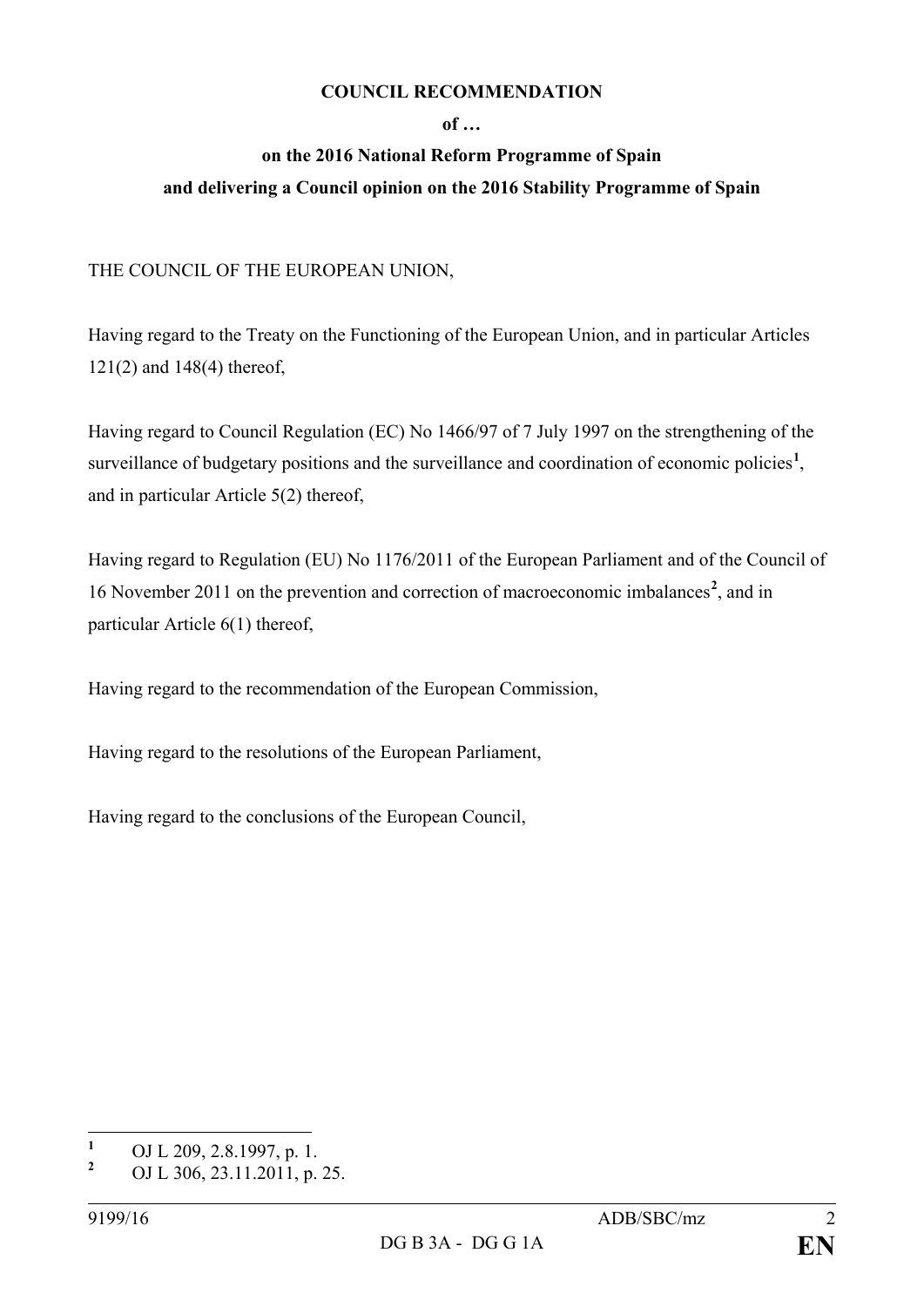### **COUNCIL RECOMMENDATION**

### **of …**

# **on the 2016 National Reform Programme of Spain and delivering a Council opinion on the 2016 Stability Programme of Spain**

## THE COUNCIL OF THE EUROPEAN UNION,

Having regard to the Treaty on the Functioning of the European Union, and in particular Articles 121(2) and 148(4) thereof,

Having regard to Council Regulation (EC) No 1466/97 of 7 July 1997 on the strengthening of the surveillance of budgetary positions and the surveillance and coordination of economic policies<sup>[1](#page-1-0)</sup>, and in particular Article 5(2) thereof,

Having regard to Regulation (EU) No 1176/2011 of the European Parliament and of the Council of 16 November 2011 on the prevention and correction of macroeconomic imbalances**[2](#page-1-1)** , and in particular Article 6(1) thereof,

Having regard to the recommendation of the European Commission,

Having regard to the resolutions of the European Parliament,

Having regard to the conclusions of the European Council,

<span id="page-1-0"></span>**<sup>1</sup>** OJ L 209, 2.8.1997, p. 1.

<span id="page-1-1"></span>**<sup>2</sup>** OJ L 306, 23.11.2011, p. 25.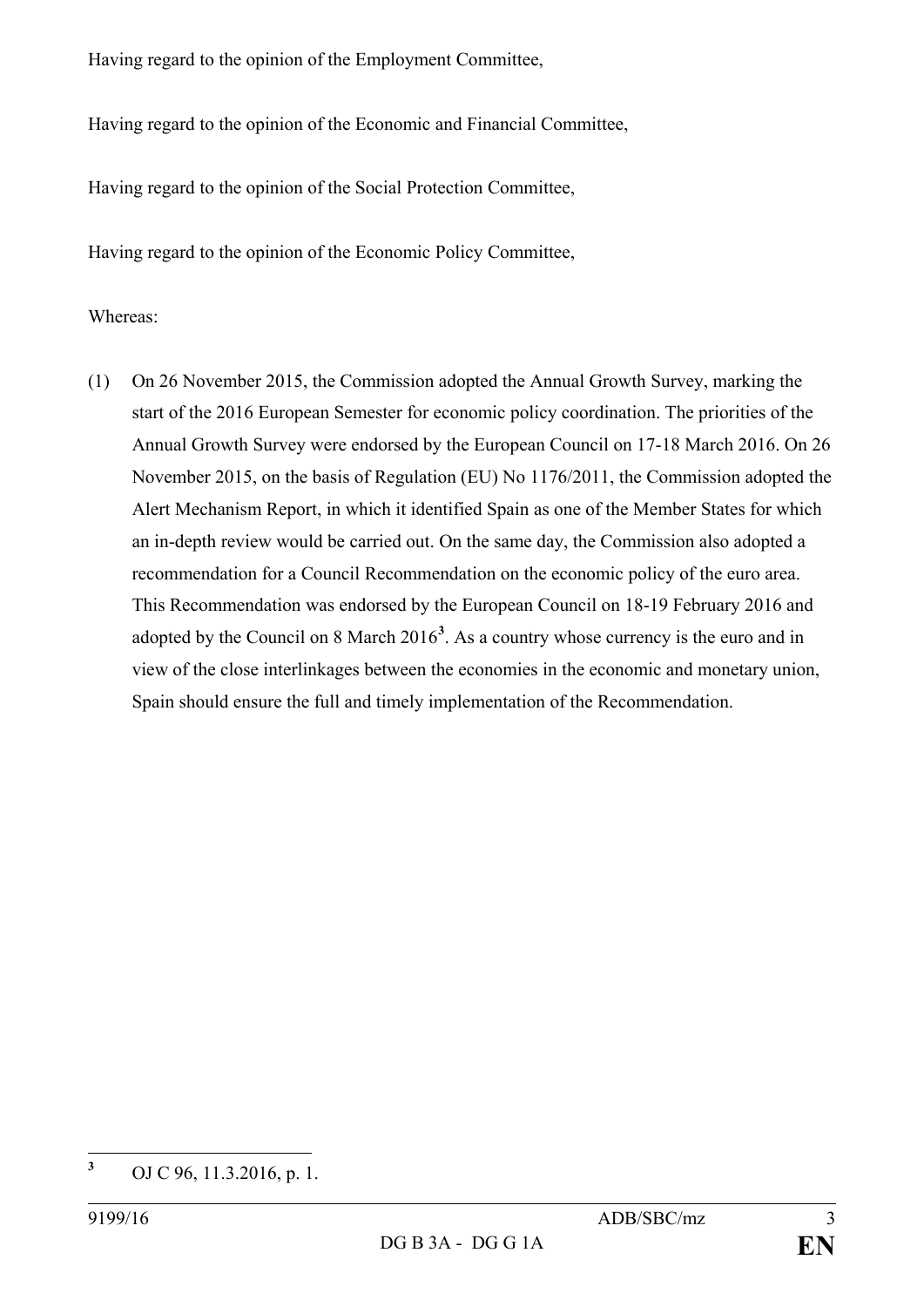Having regard to the opinion of the Employment Committee,

Having regard to the opinion of the Economic and Financial Committee,

Having regard to the opinion of the Social Protection Committee,

Having regard to the opinion of the Economic Policy Committee,

### Whereas:

(1) On 26 November 2015, the Commission adopted the Annual Growth Survey, marking the start of the 2016 European Semester for economic policy coordination. The priorities of the Annual Growth Survey were endorsed by the European Council on 17-18 March 2016. On 26 November 2015, on the basis of Regulation (EU) No 1176/2011, the Commission adopted the Alert Mechanism Report, in which it identified Spain as one of the Member States for which an in-depth review would be carried out. On the same day, the Commission also adopted a recommendation for a Council Recommendation on the economic policy of the euro area. This Recommendation was endorsed by the European Council on 18-19 February 2016 and adopted by the Council on 8 March 2016**[3](#page-2-0)** . As a country whose currency is the euro and in view of the close interlinkages between the economies in the economic and monetary union, Spain should ensure the full and timely implementation of the Recommendation.

<span id="page-2-0"></span>**<sup>3</sup>** OJ C 96, 11.3.2016, p. 1.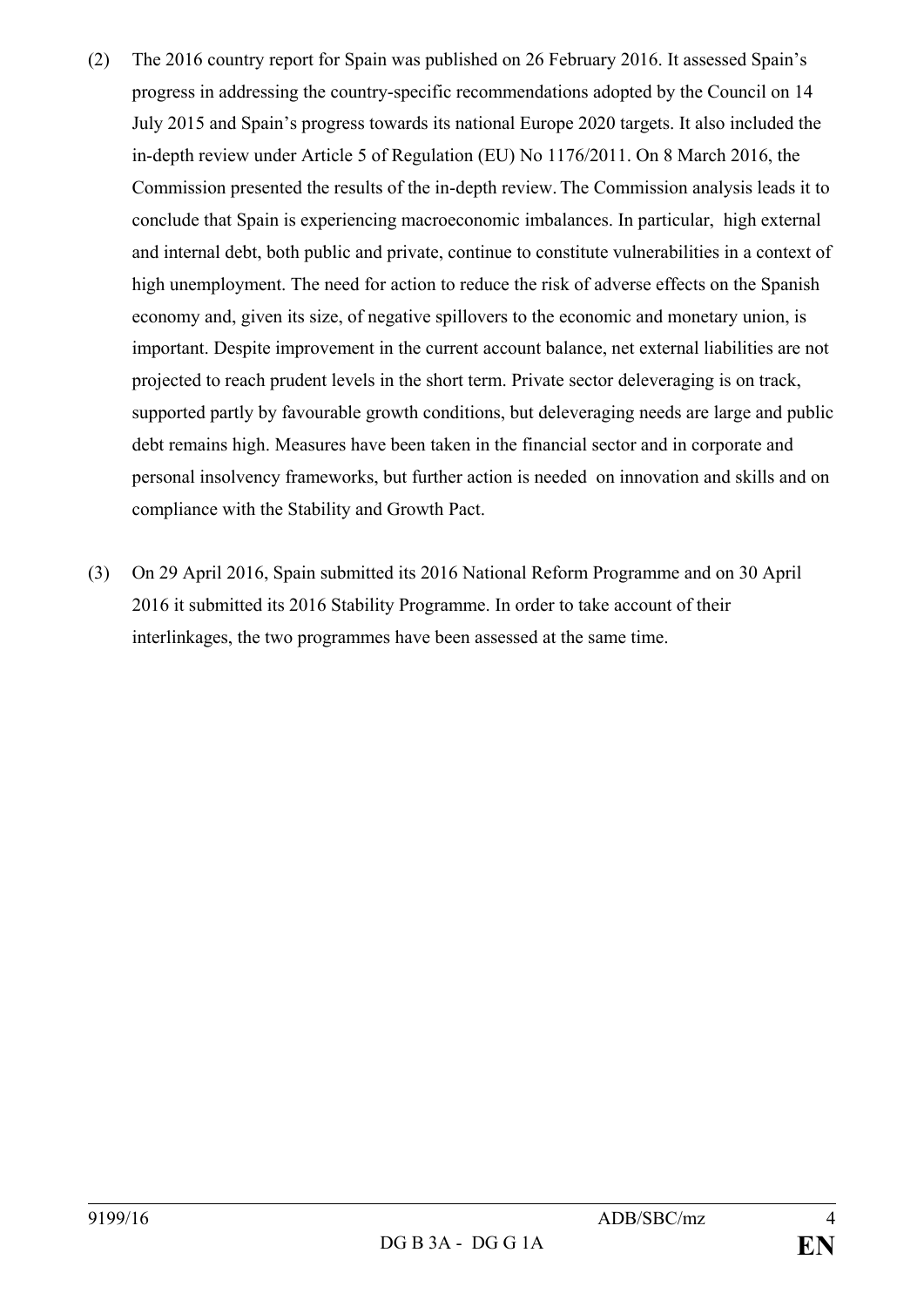- (2) The 2016 country report for Spain was published on 26 February 2016. It assessed Spain's progress in addressing the country-specific recommendations adopted by the Council on 14 July 2015 and Spain's progress towards its national Europe 2020 targets. It also included the in-depth review under Article 5 of Regulation (EU) No 1176/2011. On 8 March 2016, the Commission presented the results of the in-depth review. The Commission analysis leads it to conclude that Spain is experiencing macroeconomic imbalances. In particular, high external and internal debt, both public and private, continue to constitute vulnerabilities in a context of high unemployment. The need for action to reduce the risk of adverse effects on the Spanish economy and, given its size, of negative spillovers to the economic and monetary union, is important. Despite improvement in the current account balance, net external liabilities are not projected to reach prudent levels in the short term. Private sector deleveraging is on track, supported partly by favourable growth conditions, but deleveraging needs are large and public debt remains high. Measures have been taken in the financial sector and in corporate and personal insolvency frameworks, but further action is needed on innovation and skills and on compliance with the Stability and Growth Pact.
- (3) On 29 April 2016, Spain submitted its 2016 National Reform Programme and on 30 April 2016 it submitted its 2016 Stability Programme. In order to take account of their interlinkages, the two programmes have been assessed at the same time.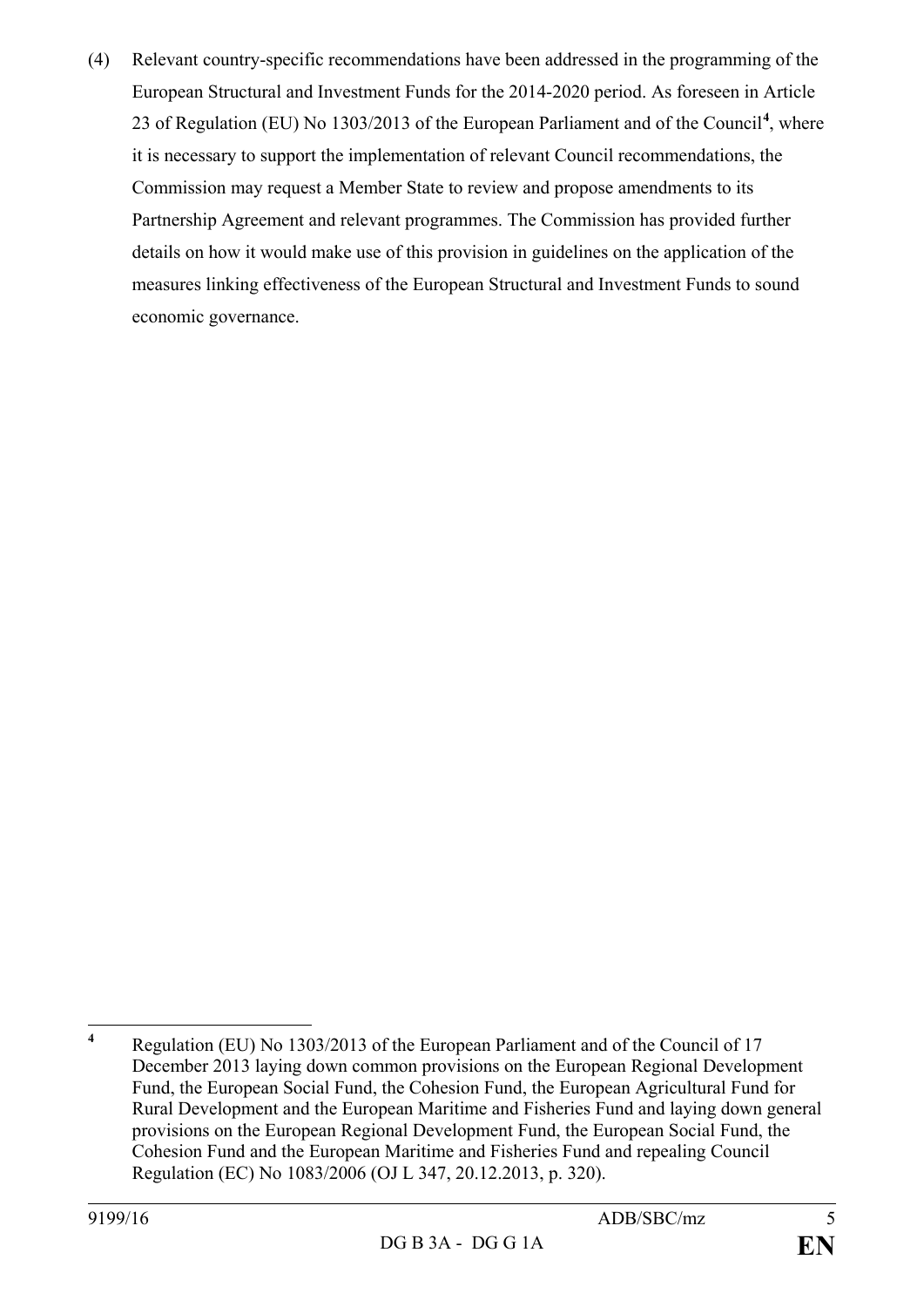(4) Relevant country-specific recommendations have been addressed in the programming of the European Structural and Investment Funds for the 2014-2020 period. As foreseen in Article 23 of Regulation (EU) No 1303/2013 of the European Parliament and of the Council**[4](#page-4-0)** , where it is necessary to support the implementation of relevant Council recommendations, the Commission may request a Member State to review and propose amendments to its Partnership Agreement and relevant programmes. The Commission has provided further details on how it would make use of this provision in guidelines on the application of the measures linking effectiveness of the European Structural and Investment Funds to sound economic governance.

<span id="page-4-0"></span>**<sup>4</sup>** Regulation (EU) No 1303/2013 of the European Parliament and of the Council of 17 December 2013 laying down common provisions on the European Regional Development Fund, the European Social Fund, the Cohesion Fund, the European Agricultural Fund for Rural Development and the European Maritime and Fisheries Fund and laying down general provisions on the European Regional Development Fund, the European Social Fund, the Cohesion Fund and the European Maritime and Fisheries Fund and repealing Council Regulation (EC) No 1083/2006 (OJ L 347, 20.12.2013, p. 320).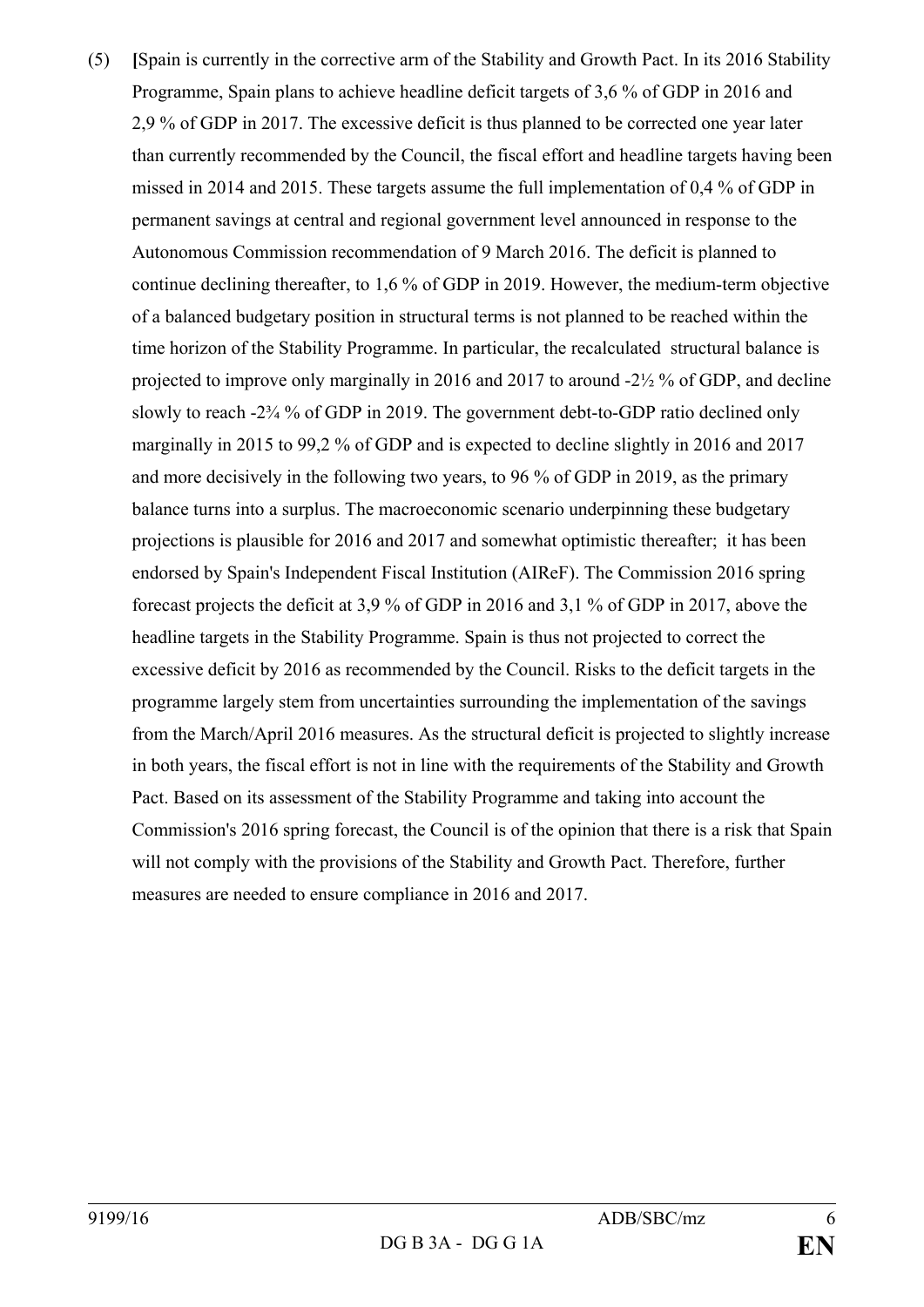(5) **[**Spain is currently in the corrective arm of the Stability and Growth Pact. In its 2016 Stability Programme, Spain plans to achieve headline deficit targets of 3,6 % of GDP in 2016 and 2,9 % of GDP in 2017. The excessive deficit is thus planned to be corrected one year later than currently recommended by the Council, the fiscal effort and headline targets having been missed in 2014 and 2015. These targets assume the full implementation of 0,4 % of GDP in permanent savings at central and regional government level announced in response to the Autonomous Commission recommendation of 9 March 2016. The deficit is planned to continue declining thereafter, to 1,6 % of GDP in 2019. However, the medium-term objective of a balanced budgetary position in structural terms is not planned to be reached within the time horizon of the Stability Programme. In particular, the recalculated structural balance is projected to improve only marginally in 2016 and 2017 to around -2½ % of GDP, and decline slowly to reach -2¾ % of GDP in 2019. The government debt-to-GDP ratio declined only marginally in 2015 to 99,2 % of GDP and is expected to decline slightly in 2016 and 2017 and more decisively in the following two years, to 96 % of GDP in 2019, as the primary balance turns into a surplus. The macroeconomic scenario underpinning these budgetary projections is plausible for 2016 and 2017 and somewhat optimistic thereafter; it has been endorsed by Spain's Independent Fiscal Institution (AIReF). The Commission 2016 spring forecast projects the deficit at 3,9 % of GDP in 2016 and 3,1 % of GDP in 2017, above the headline targets in the Stability Programme. Spain is thus not projected to correct the excessive deficit by 2016 as recommended by the Council. Risks to the deficit targets in the programme largely stem from uncertainties surrounding the implementation of the savings from the March/April 2016 measures. As the structural deficit is projected to slightly increase in both years, the fiscal effort is not in line with the requirements of the Stability and Growth Pact. Based on its assessment of the Stability Programme and taking into account the Commission's 2016 spring forecast, the Council is of the opinion that there is a risk that Spain will not comply with the provisions of the Stability and Growth Pact. Therefore, further measures are needed to ensure compliance in 2016 and 2017.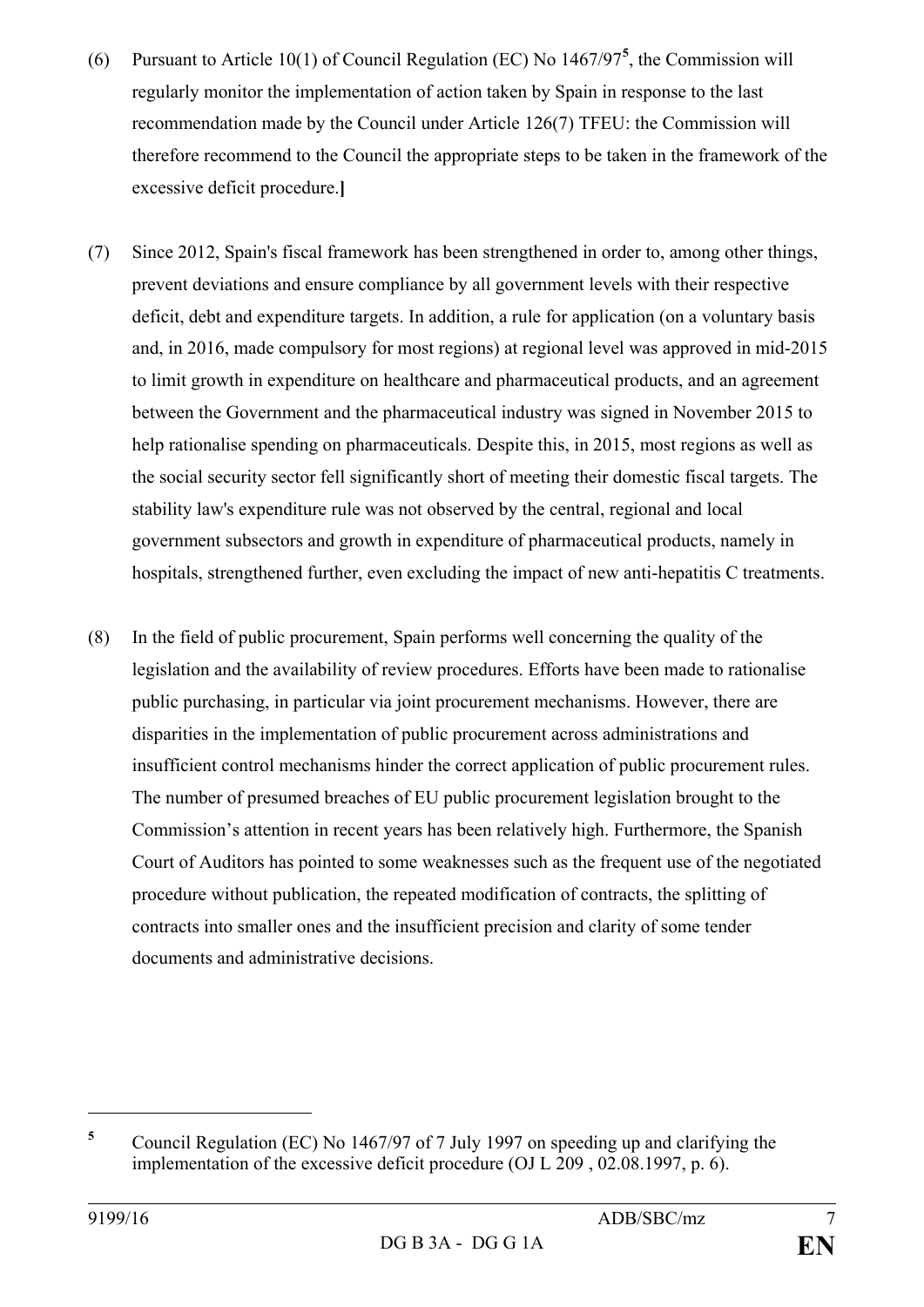- (6) Pursuant to Article 10(1) of Council Regulation (EC) No 1467/97**[5](#page-6-0)** , the Commission will regularly monitor the implementation of action taken by Spain in response to the last recommendation made by the Council under Article 126(7) TFEU: the Commission will therefore recommend to the Council the appropriate steps to be taken in the framework of the excessive deficit procedure.**]**
- (7) Since 2012, Spain's fiscal framework has been strengthened in order to, among other things, prevent deviations and ensure compliance by all government levels with their respective deficit, debt and expenditure targets. In addition, a rule for application (on a voluntary basis and, in 2016, made compulsory for most regions) at regional level was approved in mid-2015 to limit growth in expenditure on healthcare and pharmaceutical products, and an agreement between the Government and the pharmaceutical industry was signed in November 2015 to help rationalise spending on pharmaceuticals. Despite this, in 2015, most regions as well as the social security sector fell significantly short of meeting their domestic fiscal targets. The stability law's expenditure rule was not observed by the central, regional and local government subsectors and growth in expenditure of pharmaceutical products, namely in hospitals, strengthened further, even excluding the impact of new anti-hepatitis C treatments.
- (8) In the field of public procurement, Spain performs well concerning the quality of the legislation and the availability of review procedures. Efforts have been made to rationalise public purchasing, in particular via joint procurement mechanisms. However, there are disparities in the implementation of public procurement across administrations and insufficient control mechanisms hinder the correct application of public procurement rules. The number of presumed breaches of EU public procurement legislation brought to the Commission's attention in recent years has been relatively high. Furthermore, the Spanish Court of Auditors has pointed to some weaknesses such as the frequent use of the negotiated procedure without publication, the repeated modification of contracts, the splitting of contracts into smaller ones and the insufficient precision and clarity of some tender documents and administrative decisions.

 $\overline{a}$ 

<span id="page-6-0"></span>**<sup>5</sup>** Council Regulation (EC) No 1467/97 of 7 July 1997 on speeding up and clarifying the implementation of the excessive deficit procedure (OJ L 209 , 02.08.1997, p. 6).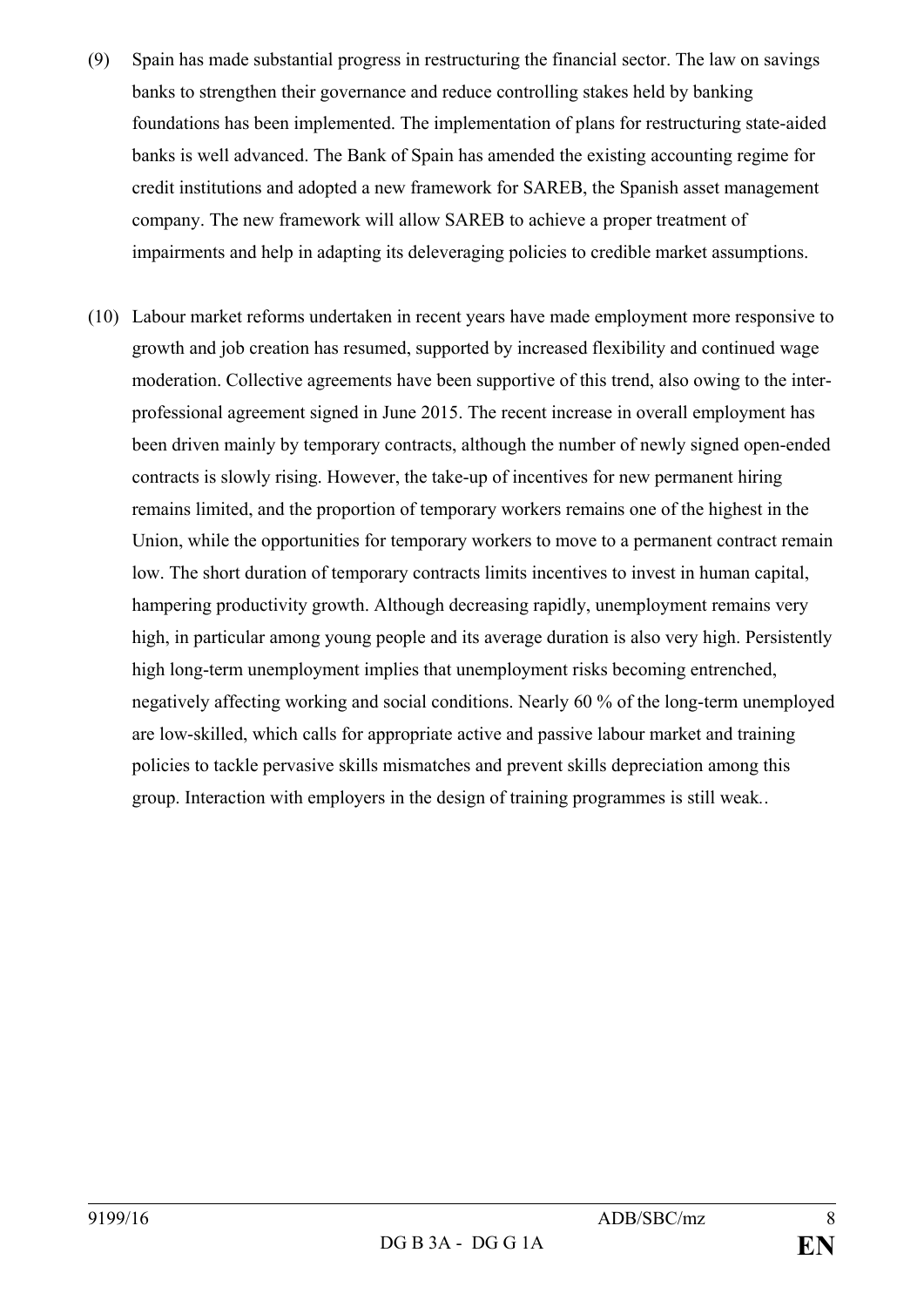- (9) Spain has made substantial progress in restructuring the financial sector. The law on savings banks to strengthen their governance and reduce controlling stakes held by banking foundations has been implemented. The implementation of plans for restructuring state-aided banks is well advanced. The Bank of Spain has amended the existing accounting regime for credit institutions and adopted a new framework for SAREB, the Spanish asset management company. The new framework will allow SAREB to achieve a proper treatment of impairments and help in adapting its deleveraging policies to credible market assumptions.
- (10) Labour market reforms undertaken in recent years have made employment more responsive to growth and job creation has resumed, supported by increased flexibility and continued wage moderation. Collective agreements have been supportive of this trend, also owing to the interprofessional agreement signed in June 2015. The recent increase in overall employment has been driven mainly by temporary contracts, although the number of newly signed open-ended contracts is slowly rising. However, the take-up of incentives for new permanent hiring remains limited, and the proportion of temporary workers remains one of the highest in the Union, while the opportunities for temporary workers to move to a permanent contract remain low. The short duration of temporary contracts limits incentives to invest in human capital, hampering productivity growth. Although decreasing rapidly, unemployment remains very high, in particular among young people and its average duration is also very high. Persistently high long-term unemployment implies that unemployment risks becoming entrenched, negatively affecting working and social conditions. Nearly 60 % of the long-term unemployed are low-skilled, which calls for appropriate active and passive labour market and training policies to tackle pervasive skills mismatches and prevent skills depreciation among this group. Interaction with employers in the design of training programmes is still weak*.*.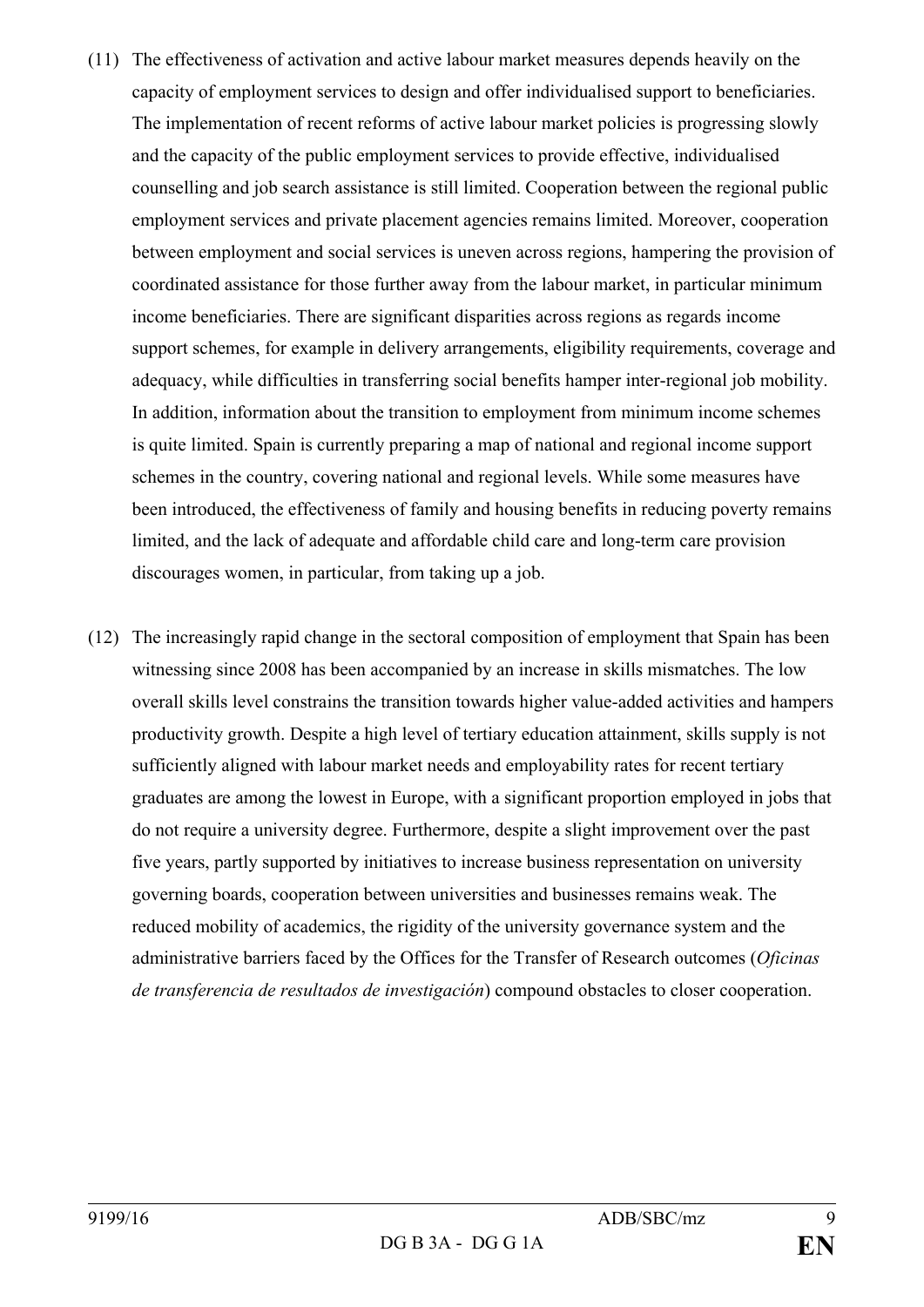- (11) The effectiveness of activation and active labour market measures depends heavily on the capacity of employment services to design and offer individualised support to beneficiaries. The implementation of recent reforms of active labour market policies is progressing slowly and the capacity of the public employment services to provide effective, individualised counselling and job search assistance is still limited. Cooperation between the regional public employment services and private placement agencies remains limited. Moreover, cooperation between employment and social services is uneven across regions, hampering the provision of coordinated assistance for those further away from the labour market, in particular minimum income beneficiaries. There are significant disparities across regions as regards income support schemes, for example in delivery arrangements, eligibility requirements, coverage and adequacy, while difficulties in transferring social benefits hamper inter-regional job mobility. In addition, information about the transition to employment from minimum income schemes is quite limited. Spain is currently preparing a map of national and regional income support schemes in the country, covering national and regional levels. While some measures have been introduced, the effectiveness of family and housing benefits in reducing poverty remains limited, and the lack of adequate and affordable child care and long-term care provision discourages women, in particular, from taking up a job.
- (12) The increasingly rapid change in the sectoral composition of employment that Spain has been witnessing since 2008 has been accompanied by an increase in skills mismatches. The low overall skills level constrains the transition towards higher value-added activities and hampers productivity growth. Despite a high level of tertiary education attainment, skills supply is not sufficiently aligned with labour market needs and employability rates for recent tertiary graduates are among the lowest in Europe, with a significant proportion employed in jobs that do not require a university degree. Furthermore, despite a slight improvement over the past five years, partly supported by initiatives to increase business representation on university governing boards, cooperation between universities and businesses remains weak. The reduced mobility of academics, the rigidity of the university governance system and the administrative barriers faced by the Offices for the Transfer of Research outcomes (*Oficinas de transferencia de resultados de investigación*) compound obstacles to closer cooperation.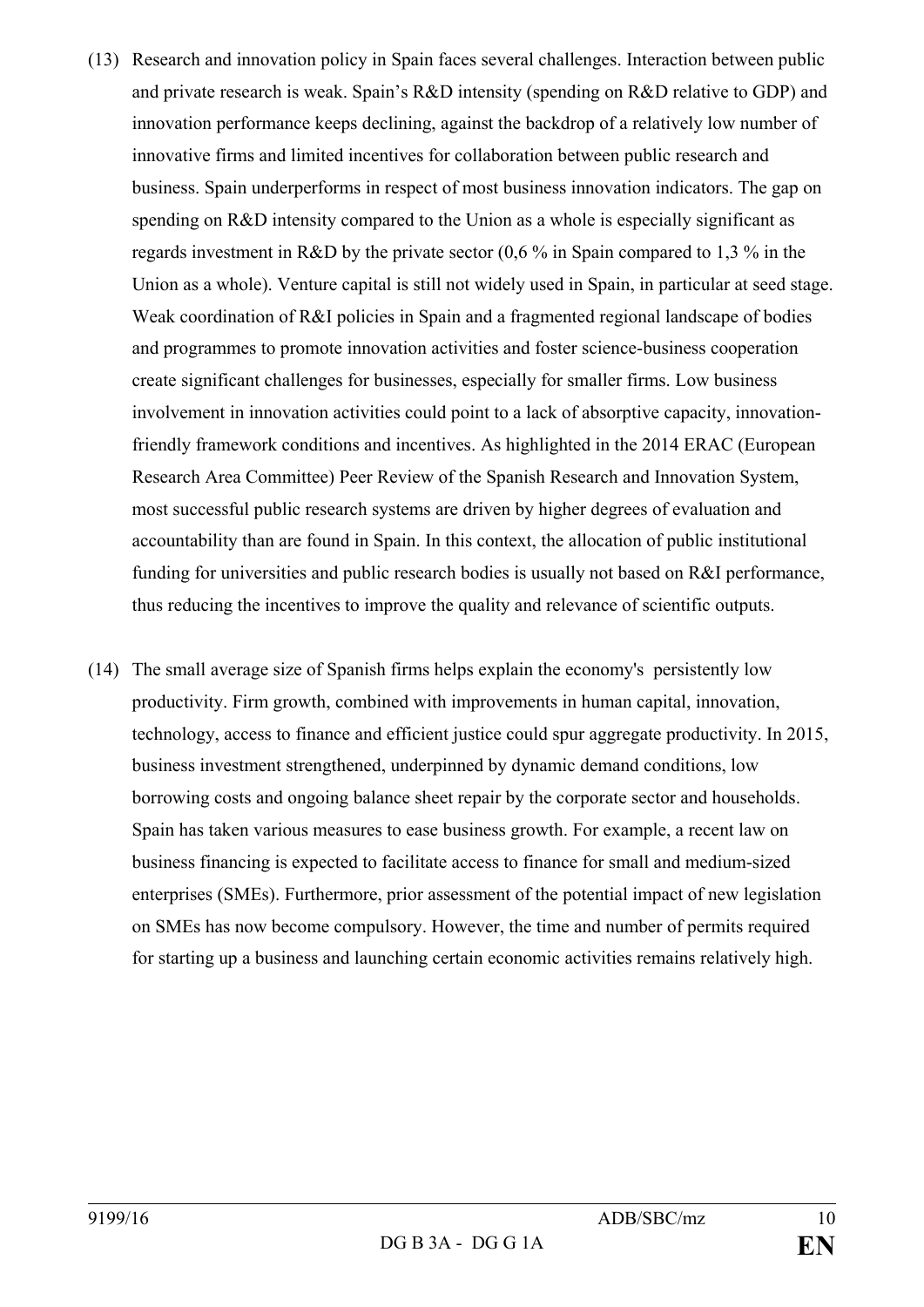- (13) Research and innovation policy in Spain faces several challenges. Interaction between public and private research is weak. Spain's R&D intensity (spending on R&D relative to GDP) and innovation performance keeps declining, against the backdrop of a relatively low number of innovative firms and limited incentives for collaboration between public research and business. Spain underperforms in respect of most business innovation indicators. The gap on spending on R&D intensity compared to the Union as a whole is especially significant as regards investment in R&D by the private sector (0,6 % in Spain compared to 1,3 % in the Union as a whole). Venture capital is still not widely used in Spain, in particular at seed stage. Weak coordination of R&I policies in Spain and a fragmented regional landscape of bodies and programmes to promote innovation activities and foster science-business cooperation create significant challenges for businesses, especially for smaller firms. Low business involvement in innovation activities could point to a lack of absorptive capacity, innovationfriendly framework conditions and incentives. As highlighted in the 2014 ERAC (European Research Area Committee) Peer Review of the Spanish Research and Innovation System, most successful public research systems are driven by higher degrees of evaluation and accountability than are found in Spain. In this context, the allocation of public institutional funding for universities and public research bodies is usually not based on R&I performance, thus reducing the incentives to improve the quality and relevance of scientific outputs.
- (14) The small average size of Spanish firms helps explain the economy's persistently low productivity. Firm growth, combined with improvements in human capital, innovation, technology, access to finance and efficient justice could spur aggregate productivity. In 2015, business investment strengthened, underpinned by dynamic demand conditions, low borrowing costs and ongoing balance sheet repair by the corporate sector and households. Spain has taken various measures to ease business growth. For example, a recent law on business financing is expected to facilitate access to finance for small and medium-sized enterprises (SMEs). Furthermore, prior assessment of the potential impact of new legislation on SMEs has now become compulsory. However, the time and number of permits required for starting up a business and launching certain economic activities remains relatively high.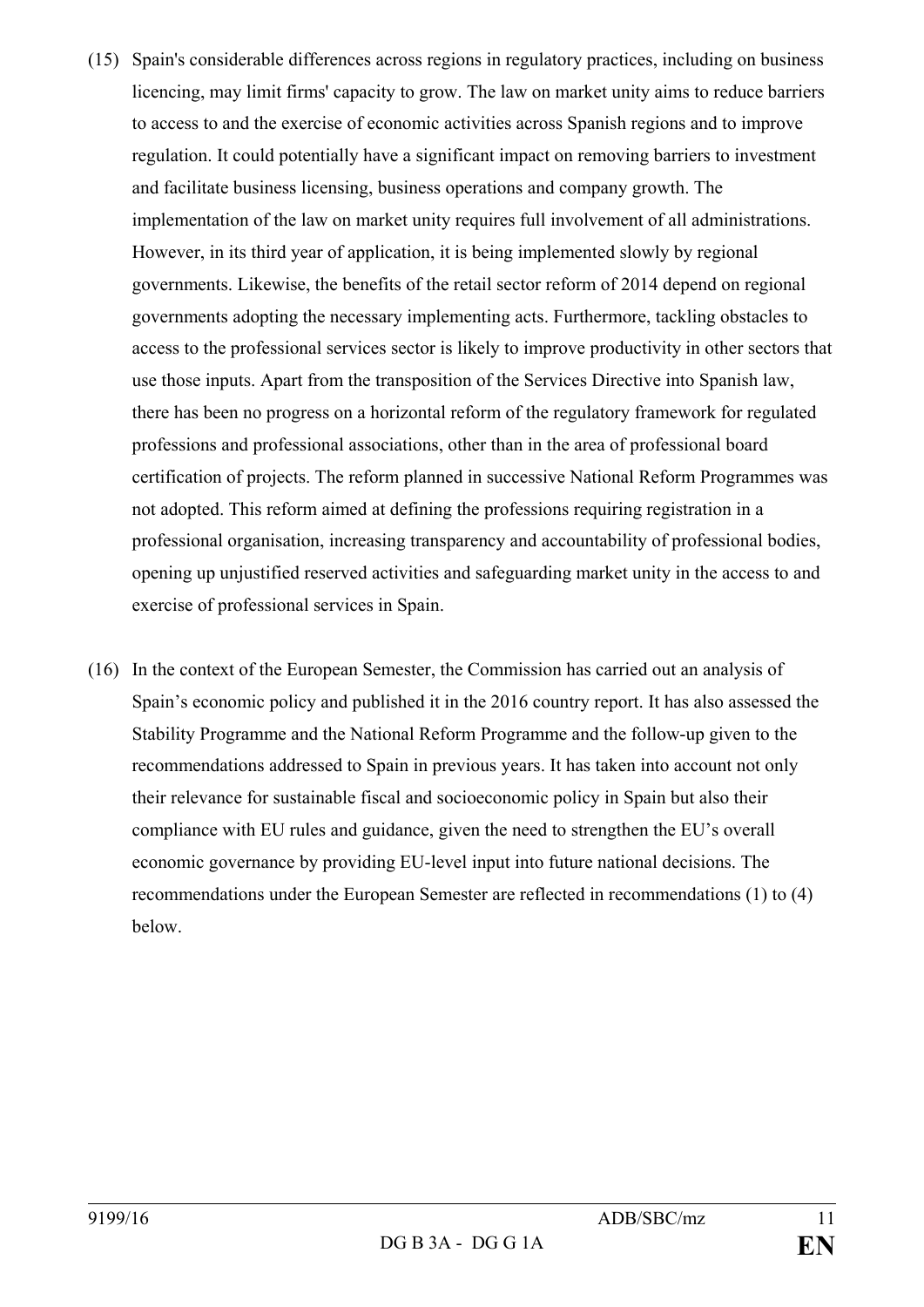- (15) Spain's considerable differences across regions in regulatory practices, including on business licencing, may limit firms' capacity to grow. The law on market unity aims to reduce barriers to access to and the exercise of economic activities across Spanish regions and to improve regulation. It could potentially have a significant impact on removing barriers to investment and facilitate business licensing, business operations and company growth. The implementation of the law on market unity requires full involvement of all administrations. However, in its third year of application, it is being implemented slowly by regional governments. Likewise, the benefits of the retail sector reform of 2014 depend on regional governments adopting the necessary implementing acts. Furthermore, tackling obstacles to access to the professional services sector is likely to improve productivity in other sectors that use those inputs. Apart from the transposition of the Services Directive into Spanish law, there has been no progress on a horizontal reform of the regulatory framework for regulated professions and professional associations, other than in the area of professional board certification of projects. The reform planned in successive National Reform Programmes was not adopted. This reform aimed at defining the professions requiring registration in a professional organisation, increasing transparency and accountability of professional bodies, opening up unjustified reserved activities and safeguarding market unity in the access to and exercise of professional services in Spain.
- (16) In the context of the European Semester, the Commission has carried out an analysis of Spain's economic policy and published it in the 2016 country report. It has also assessed the Stability Programme and the National Reform Programme and the follow-up given to the recommendations addressed to Spain in previous years. It has taken into account not only their relevance for sustainable fiscal and socioeconomic policy in Spain but also their compliance with EU rules and guidance, given the need to strengthen the EU's overall economic governance by providing EU-level input into future national decisions. The recommendations under the European Semester are reflected in recommendations (1) to (4) below.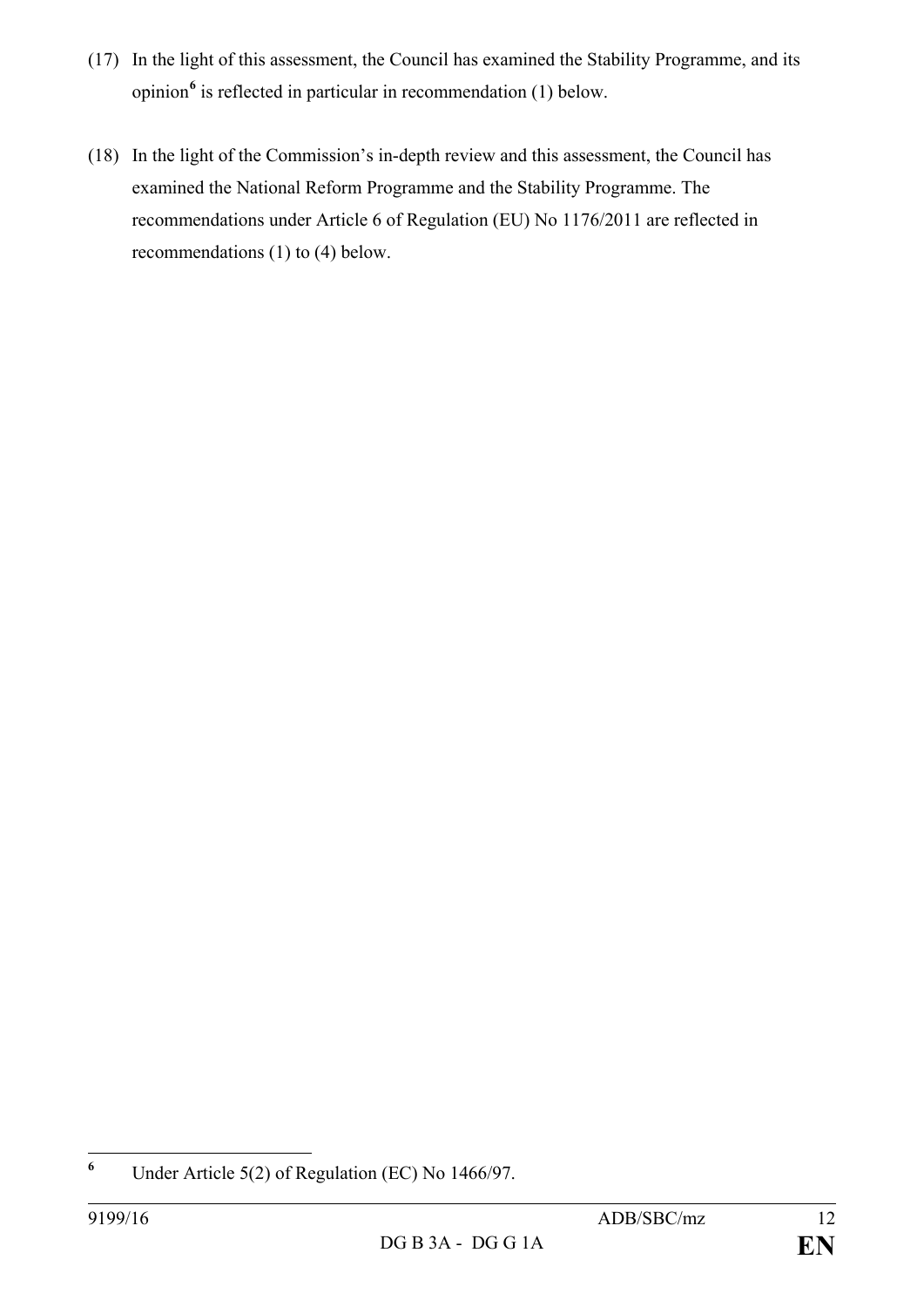- (17) In the light of this assessment, the Council has examined the Stability Programme, and its opinion**[6](#page-11-0)** is reflected in particular in recommendation (1) below.
- (18) In the light of the Commission's in-depth review and this assessment, the Council has examined the National Reform Programme and the Stability Programme. The recommendations under Article 6 of Regulation (EU) No 1176/2011 are reflected in recommendations (1) to (4) below.

<span id="page-11-0"></span>**<sup>6</sup>** Under Article 5(2) of Regulation (EC) No 1466/97.